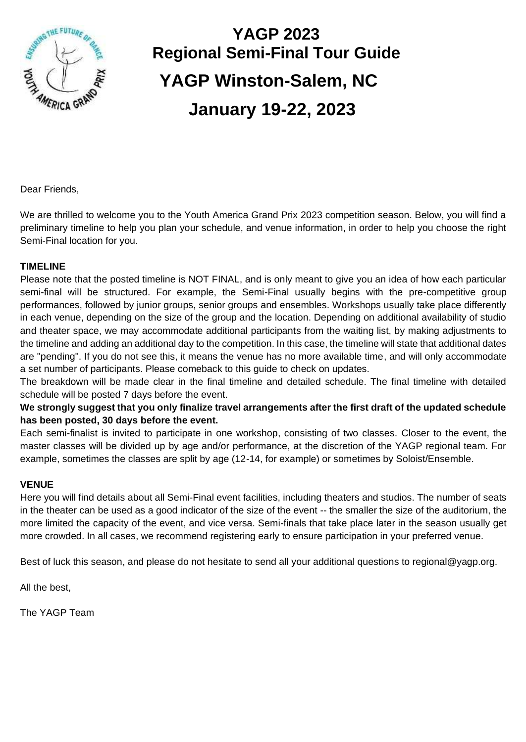

# **YAGP 2023 Regional Semi-Final Tour Guide YAGP Winston-Salem, NC January 19-22, 2023**

Dear Friends,

We are thrilled to welcome you to the Youth America Grand Prix 2023 competition season. Below, you will find a preliminary timeline to help you plan your schedule, and venue information, in order to help you choose the right Semi-Final location for you.

#### **TIMELINE**

Please note that the posted timeline is NOT FINAL, and is only meant to give you an idea of how each particular semi-final will be structured. For example, the Semi-Final usually begins with the pre-competitive group performances, followed by junior groups, senior groups and ensembles. Workshops usually take place differently in each venue, depending on the size of the group and the location. Depending on additional availability of studio and theater space, we may accommodate additional participants from the waiting list, by making adjustments to the timeline and adding an additional day to the competition. In this case, the timeline will state that additional dates are "pending". If you do not see this, it means the venue has no more available time, and will only accommodate a set number of participants. Please comeback to this guide to check on updates.

The breakdown will be made clear in the final timeline and detailed schedule. The final timeline with detailed schedule will be posted 7 days before the event.

#### **We strongly suggest that you only finalize travel arrangements after the first draft of the updated schedule has been posted, 30 days before the event.**

Each semi-finalist is invited to participate in one workshop, consisting of two classes. Closer to the event, the master classes will be divided up by age and/or performance, at the discretion of the YAGP regional team. For example, sometimes the classes are split by age (12-14, for example) or sometimes by Soloist/Ensemble.

#### **VENUE**

Here you will find details about all Semi-Final event facilities, including theaters and studios. The number of seats in the theater can be used as a good indicator of the size of the event -- the smaller the size of the auditorium, the more limited the capacity of the event, and vice versa. Semi-finals that take place later in the season usually get more crowded. In all cases, we recommend registering early to ensure participation in your preferred venue.

Best of luck this season, and please do not hesitate to send all your additional questions to regional@yagp.org.

All the best,

The YAGP Team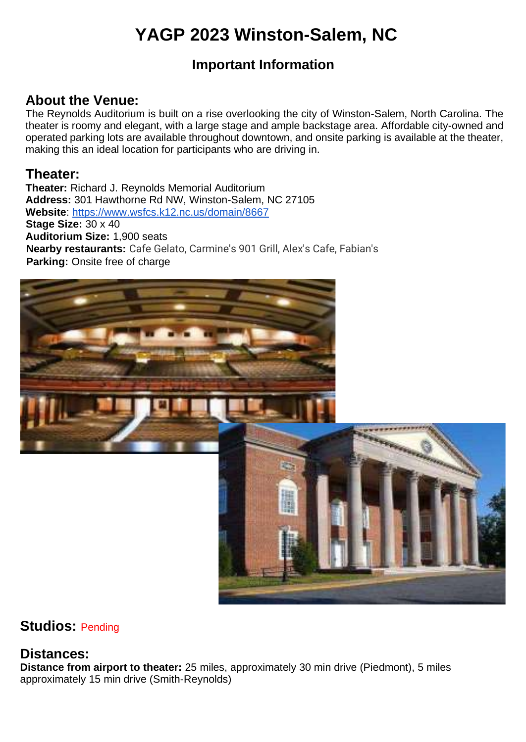## **YAGP 2023 Winston-Salem, NC**

## **Important Information**

## **About the Venue:**

The Reynolds Auditorium is built on a rise overlooking the city of Winston-Salem, North Carolina. The theater is roomy and elegant, with a large stage and ample backstage area. Affordable city-owned and operated parking lots are available throughout downtown, and onsite parking is available at the theater, making this an ideal location for participants who are driving in.

### **Theater:**

**Theater:** Richard J. Reynolds Memorial Auditorium **Address:** 301 Hawthorne Rd NW, Winston-Salem, NC 27105 **Website**: https://www.wsfcs.k12.nc.us/domain/8667 **Stage Size:** 30 x 40 **Auditorium Size:** 1,900 seats **Nearby restaurants:** Cafe Gelato, Carmine's 901 Grill, Alex's Cafe, Fabian's **Parking:** Onsite free of charge



## **Studios:** Pending

## **Distances:**

**Distance from airport to theater:** 25 miles, approximately 30 min drive (Piedmont), 5 miles approximately 15 min drive (Smith-Reynolds)